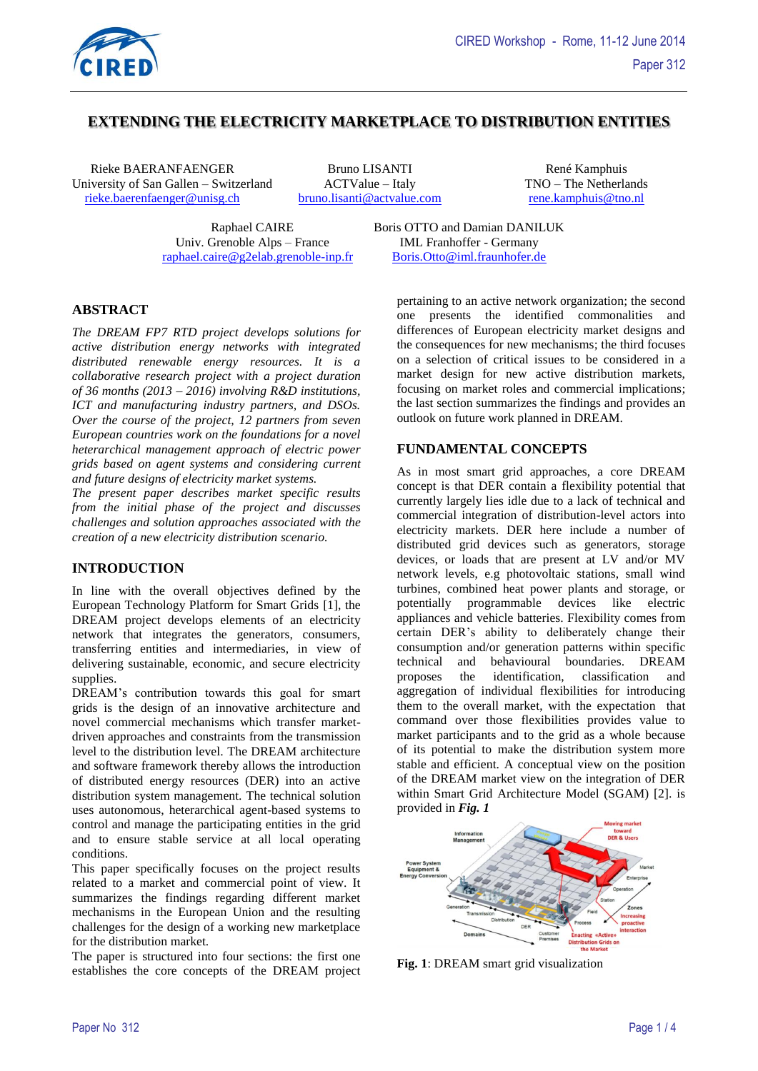

# **EXTENDING THE ELECTRICITY MARKETPLACE TO DISTRIBUTION ENTITIES**

Rieke BAERANFAENGER Bruno LISANTI René Kamphuis University of San Gallen – Switzerland actryative – Italy TNO – The Netherlands rieke baerenfaenger@unisg.ch bruno.lisanti@actvalue.com rene.kamphuis@tno.nl [rieke.baerenfaenger@unisg.ch](mailto:rieke.baerenfaenger@unisg.ch) [bruno.lisanti@actvalue.com](mailto:bruno.lisanti@actvalue.com)

Univ. Grenoble Alps – France IML Franhoffer - Germany [raphael.caire@g2elab.grenoble-inp.fr](mailto:raphael.caire@g2elab.grenoble-inp.fr) [Boris.Otto@iml.fraunhofer.de](mailto:Boris.Otto@iml.fraunhofer.de)

Raphael CAIRE Boris OTTO and Damian DANILUK

# **ABSTRACT**

*The DREAM FP7 RTD project develops solutions for active distribution energy networks with integrated distributed renewable energy resources. It is a collaborative research project with a project duration of 36 months (2013 – 2016) involving R&D institutions, ICT and manufacturing industry partners, and DSOs. Over the course of the project, 12 partners from seven European countries work on the foundations for a novel heterarchical management approach of electric power grids based on agent systems and considering current and future designs of electricity market systems.* 

*The present paper describes market specific results from the initial phase of the project and discusses challenges and solution approaches associated with the creation of a new electricity distribution scenario.* 

#### **INTRODUCTION**

In line with the overall objectives defined by the European Technology Platform for Smart Grids [1], the DREAM project develops elements of an electricity network that integrates the generators, consumers, transferring entities and intermediaries, in view of delivering sustainable, economic, and secure electricity supplies.

DREAM's contribution towards this goal for smart grids is the design of an innovative architecture and novel commercial mechanisms which transfer marketdriven approaches and constraints from the transmission level to the distribution level. The DREAM architecture and software framework thereby allows the introduction of distributed energy resources (DER) into an active distribution system management. The technical solution uses autonomous, heterarchical agent-based systems to control and manage the participating entities in the grid and to ensure stable service at all local operating conditions.

This paper specifically focuses on the project results related to a market and commercial point of view. It summarizes the findings regarding different market mechanisms in the European Union and the resulting challenges for the design of a working new marketplace for the distribution market.

The paper is structured into four sections: the first one establishes the core concepts of the DREAM project pertaining to an active network organization; the second one presents the identified commonalities and differences of European electricity market designs and the consequences for new mechanisms; the third focuses on a selection of critical issues to be considered in a market design for new active distribution markets, focusing on market roles and commercial implications; the last section summarizes the findings and provides an outlook on future work planned in DREAM.

#### **FUNDAMENTAL CONCEPTS**

As in most smart grid approaches, a core DREAM concept is that DER contain a flexibility potential that currently largely lies idle due to a lack of technical and commercial integration of distribution-level actors into electricity markets. DER here include a number of distributed grid devices such as generators, storage devices, or loads that are present at LV and/or MV network levels, e.g photovoltaic stations, small wind turbines, combined heat power plants and storage, or potentially programmable devices like electric appliances and vehicle batteries. Flexibility comes from certain DER's ability to deliberately change their consumption and/or generation patterns within specific technical and behavioural boundaries. DREAM proposes the identification, classification and aggregation of individual flexibilities for introducing them to the overall market, with the expectation that command over those flexibilities provides value to market participants and to the grid as a whole because of its potential to make the distribution system more stable and efficient. A conceptual view on the position of the DREAM market view on the integration of DER within Smart Grid Architecture Model (SGAM) [2]. is provided in *[Fig. 1](#page-0-0)*



<span id="page-0-0"></span>**Fig. 1**: DREAM smart grid visualization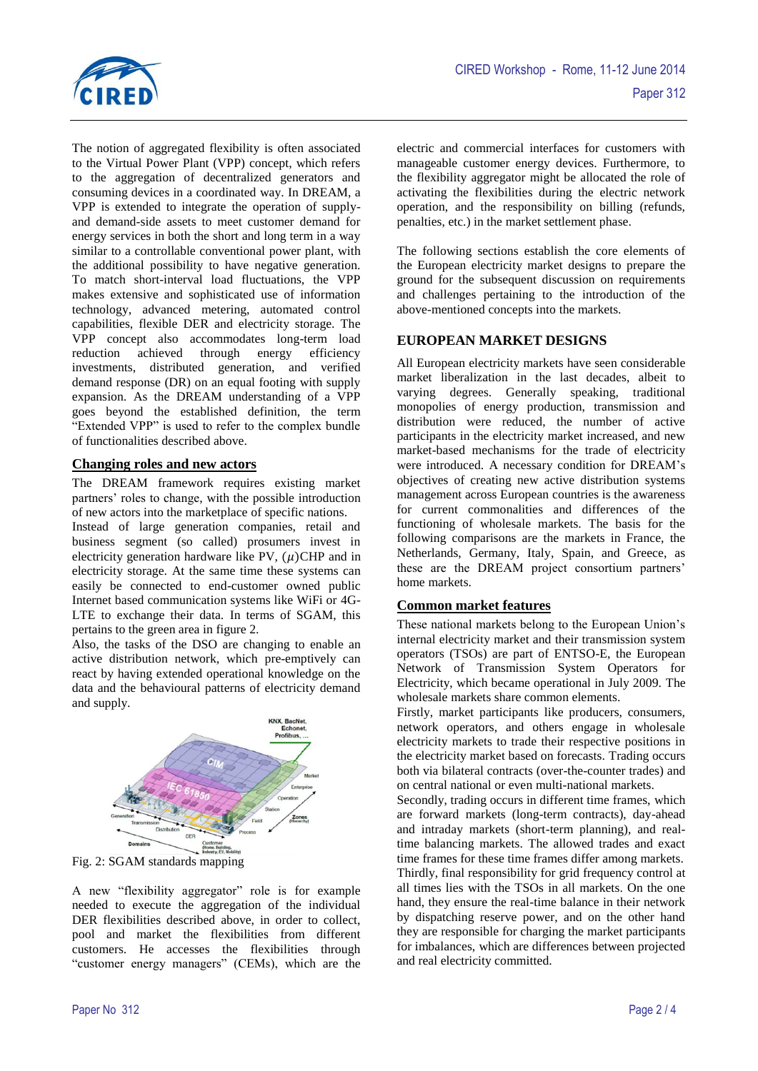

The notion of aggregated flexibility is often associated to the Virtual Power Plant (VPP) concept, which refers to the aggregation of decentralized generators and consuming devices in a coordinated way. In DREAM, a VPP is extended to integrate the operation of supplyand demand-side assets to meet customer demand for energy services in both the short and long term in a way similar to a controllable conventional power plant, with the additional possibility to have negative generation. To match short-interval load fluctuations, the VPP makes extensive and sophisticated use of information technology, advanced metering, automated control capabilities, flexible DER and electricity storage. The VPP concept also accommodates long-term load reduction achieved through energy efficiency investments, distributed generation, and verified demand response (DR) on an equal footing with supply expansion. As the DREAM understanding of a VPP goes beyond the established definition, the term "Extended VPP" is used to refer to the complex bundle of functionalities described above.

#### **Changing roles and new actors**

The DREAM framework requires existing market partners' roles to change, with the possible introduction of new actors into the marketplace of specific nations.

Instead of large generation companies, retail and business segment (so called) prosumers invest in electricity generation hardware like PV,  $(\mu)$ CHP and in electricity storage. At the same time these systems can easily be connected to end-customer owned public Internet based communication systems like WiFi or 4G-LTE to exchange their data. In terms of SGAM, this pertains to the green area in figure 2.

Also, the tasks of the DSO are changing to enable an active distribution network, which pre-emptively can react by having extended operational knowledge on the data and the behavioural patterns of electricity demand and supply.



Fig. 2: SGAM standards mapping

A new "flexibility aggregator" role is for example needed to execute the aggregation of the individual DER flexibilities described above, in order to collect, pool and market the flexibilities from different customers. He accesses the flexibilities through "customer energy managers" (CEMs), which are the

electric and commercial interfaces for customers with manageable customer energy devices. Furthermore, to the flexibility aggregator might be allocated the role of activating the flexibilities during the electric network operation, and the responsibility on billing (refunds, penalties, etc.) in the market settlement phase.

The following sections establish the core elements of the European electricity market designs to prepare the ground for the subsequent discussion on requirements and challenges pertaining to the introduction of the above-mentioned concepts into the markets.

#### **EUROPEAN MARKET DESIGNS**

All European electricity markets have seen considerable market liberalization in the last decades, albeit to varying degrees. Generally speaking, traditional monopolies of energy production, transmission and distribution were reduced, the number of active participants in the electricity market increased, and new market-based mechanisms for the trade of electricity were introduced. A necessary condition for DREAM's objectives of creating new active distribution systems management across European countries is the awareness for current commonalities and differences of the functioning of wholesale markets. The basis for the following comparisons are the markets in France, the Netherlands, Germany, Italy, Spain, and Greece, as these are the DREAM project consortium partners' home markets.

### **Common market features**

These national markets belong to the European Union's internal electricity market and their transmission system operators (TSOs) are part of ENTSO-E, the European Network of Transmission System Operators for Electricity, which became operational in July 2009. The wholesale markets share common elements.

Firstly, market participants like producers, consumers, network operators, and others engage in wholesale electricity markets to trade their respective positions in the electricity market based on forecasts. Trading occurs both via bilateral contracts (over-the-counter trades) and on central national or even multi-national markets.

Secondly, trading occurs in different time frames, which are forward markets (long-term contracts), day-ahead and intraday markets (short-term planning), and realtime balancing markets. The allowed trades and exact time frames for these time frames differ among markets. Thirdly, final responsibility for grid frequency control at all times lies with the TSOs in all markets. On the one hand, they ensure the real-time balance in their network by dispatching reserve power, and on the other hand they are responsible for charging the market participants for imbalances, which are differences between projected and real electricity committed.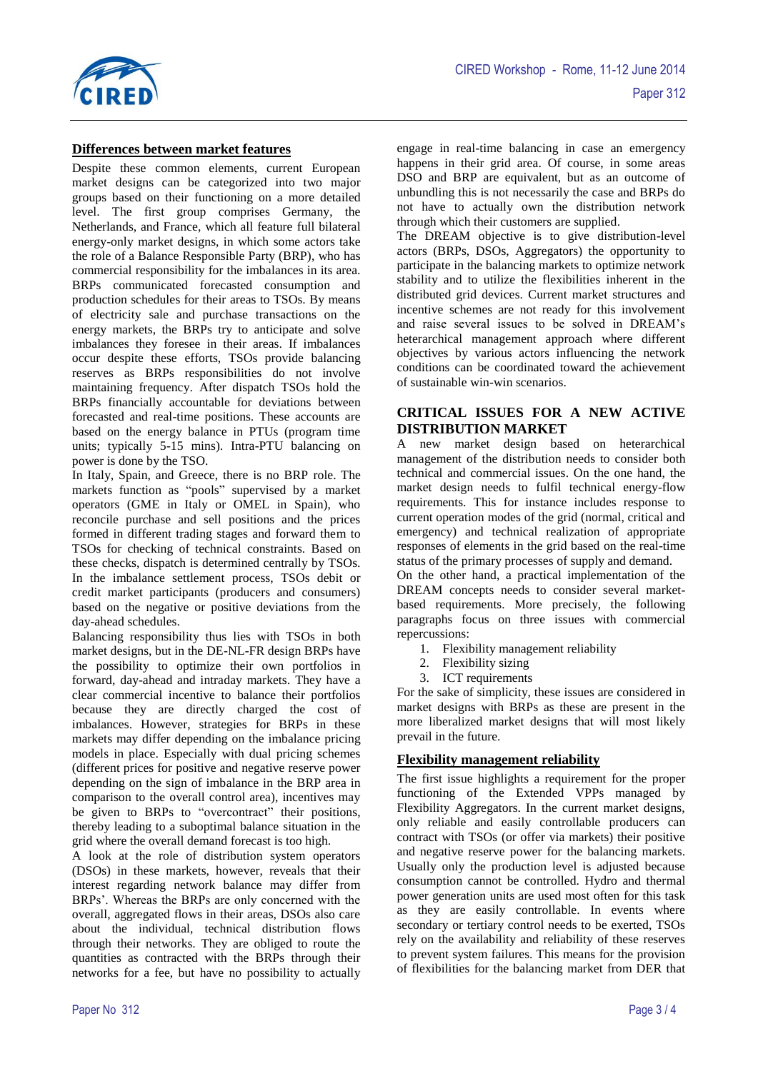

### **Differences between market features**

Despite these common elements, current European market designs can be categorized into two major groups based on their functioning on a more detailed level. The first group comprises Germany, the Netherlands, and France, which all feature full bilateral energy-only market designs, in which some actors take the role of a Balance Responsible Party (BRP), who has commercial responsibility for the imbalances in its area. BRPs communicated forecasted consumption and production schedules for their areas to TSOs. By means of electricity sale and purchase transactions on the energy markets, the BRPs try to anticipate and solve imbalances they foresee in their areas. If imbalances occur despite these efforts, TSOs provide balancing reserves as BRPs responsibilities do not involve maintaining frequency. After dispatch TSOs hold the BRPs financially accountable for deviations between forecasted and real-time positions. These accounts are based on the energy balance in PTUs (program time units; typically 5-15 mins). Intra-PTU balancing on power is done by the TSO.

In Italy, Spain, and Greece, there is no BRP role. The markets function as "pools" supervised by a market operators (GME in Italy or OMEL in Spain), who reconcile purchase and sell positions and the prices formed in different trading stages and forward them to TSOs for checking of technical constraints. Based on these checks, dispatch is determined centrally by TSOs. In the imbalance settlement process, TSOs debit or credit market participants (producers and consumers) based on the negative or positive deviations from the day-ahead schedules.

Balancing responsibility thus lies with TSOs in both market designs, but in the DE-NL-FR design BRPs have the possibility to optimize their own portfolios in forward, day-ahead and intraday markets. They have a clear commercial incentive to balance their portfolios because they are directly charged the cost of imbalances. However, strategies for BRPs in these markets may differ depending on the imbalance pricing models in place. Especially with dual pricing schemes (different prices for positive and negative reserve power depending on the sign of imbalance in the BRP area in comparison to the overall control area), incentives may be given to BRPs to "overcontract" their positions, thereby leading to a suboptimal balance situation in the grid where the overall demand forecast is too high.

A look at the role of distribution system operators (DSOs) in these markets, however, reveals that their interest regarding network balance may differ from BRPs'. Whereas the BRPs are only concerned with the overall, aggregated flows in their areas, DSOs also care about the individual, technical distribution flows through their networks. They are obliged to route the quantities as contracted with the BRPs through their networks for a fee, but have no possibility to actually engage in real-time balancing in case an emergency happens in their grid area. Of course, in some areas DSO and BRP are equivalent, but as an outcome of unbundling this is not necessarily the case and BRPs do not have to actually own the distribution network through which their customers are supplied.

The DREAM objective is to give distribution-level actors (BRPs, DSOs, Aggregators) the opportunity to participate in the balancing markets to optimize network stability and to utilize the flexibilities inherent in the distributed grid devices. Current market structures and incentive schemes are not ready for this involvement and raise several issues to be solved in DREAM's heterarchical management approach where different objectives by various actors influencing the network conditions can be coordinated toward the achievement of sustainable win-win scenarios.

### **CRITICAL ISSUES FOR A NEW ACTIVE DISTRIBUTION MARKET**

A new market design based on heterarchical management of the distribution needs to consider both technical and commercial issues. On the one hand, the market design needs to fulfil technical energy-flow requirements. This for instance includes response to current operation modes of the grid (normal, critical and emergency) and technical realization of appropriate responses of elements in the grid based on the real-time status of the primary processes of supply and demand.

On the other hand, a practical implementation of the DREAM concepts needs to consider several marketbased requirements. More precisely, the following paragraphs focus on three issues with commercial repercussions:

- 1. Flexibility management reliability
- 2. Flexibility sizing
- 3. ICT requirements

For the sake of simplicity, these issues are considered in market designs with BRPs as these are present in the more liberalized market designs that will most likely prevail in the future.

### **Flexibility management reliability**

The first issue highlights a requirement for the proper functioning of the Extended VPPs managed by Flexibility Aggregators. In the current market designs, only reliable and easily controllable producers can contract with TSOs (or offer via markets) their positive and negative reserve power for the balancing markets. Usually only the production level is adjusted because consumption cannot be controlled. Hydro and thermal power generation units are used most often for this task as they are easily controllable. In events where secondary or tertiary control needs to be exerted, TSOs rely on the availability and reliability of these reserves to prevent system failures. This means for the provision of flexibilities for the balancing market from DER that